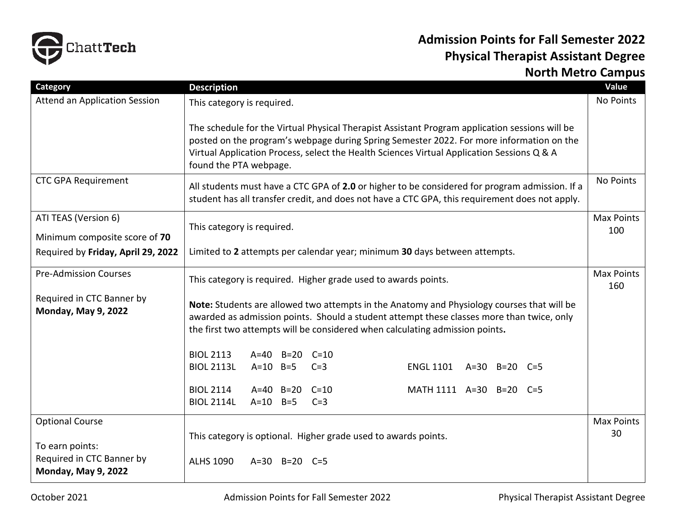

## **Admission Points for Fall Semester 2022 Physical Therapist Assistant Degree North Metro Campus**

| Category                                                                   | <b>Description</b>                                                                                                                                                                                                                                                                                                 | Value                    |
|----------------------------------------------------------------------------|--------------------------------------------------------------------------------------------------------------------------------------------------------------------------------------------------------------------------------------------------------------------------------------------------------------------|--------------------------|
| Attend an Application Session                                              | This category is required.                                                                                                                                                                                                                                                                                         | No Points                |
|                                                                            | The schedule for the Virtual Physical Therapist Assistant Program application sessions will be<br>posted on the program's webpage during Spring Semester 2022. For more information on the<br>Virtual Application Process, select the Health Sciences Virtual Application Sessions Q & A<br>found the PTA webpage. |                          |
| <b>CTC GPA Requirement</b>                                                 | All students must have a CTC GPA of 2.0 or higher to be considered for program admission. If a<br>student has all transfer credit, and does not have a CTC GPA, this requirement does not apply.                                                                                                                   | No Points                |
| ATI TEAS (Version 6)<br>Minimum composite score of 70                      | This category is required.                                                                                                                                                                                                                                                                                         | <b>Max Points</b><br>100 |
| Required by Friday, April 29, 2022                                         | Limited to 2 attempts per calendar year; minimum 30 days between attempts.                                                                                                                                                                                                                                         |                          |
| <b>Pre-Admission Courses</b>                                               | This category is required. Higher grade used to awards points.                                                                                                                                                                                                                                                     | <b>Max Points</b><br>160 |
| Required in CTC Banner by<br><b>Monday, May 9, 2022</b>                    | Note: Students are allowed two attempts in the Anatomy and Physiology courses that will be<br>awarded as admission points. Should a student attempt these classes more than twice, only<br>the first two attempts will be considered when calculating admission points.                                            |                          |
|                                                                            | <b>BIOL 2113</b><br>A=40 B=20 C=10                                                                                                                                                                                                                                                                                 |                          |
|                                                                            | <b>BIOL 2113L</b><br>$A=10$ B=5<br>ENGL 1101 A=30 B=20 C=5<br>$C=3$                                                                                                                                                                                                                                                |                          |
|                                                                            | <b>BIOL 2114</b><br>$A=40$ $B=20$<br>$C=10$<br>MATH 1111 A=30 B=20 C=5<br><b>BIOL 2114L</b><br>$A=10$ B=5<br>$C=3$                                                                                                                                                                                                 |                          |
| <b>Optional Course</b>                                                     |                                                                                                                                                                                                                                                                                                                    | <b>Max Points</b>        |
| To earn points:<br>Required in CTC Banner by<br><b>Monday, May 9, 2022</b> | This category is optional. Higher grade used to awards points.<br><b>ALHS 1090</b><br>A=30 B=20 C=5                                                                                                                                                                                                                | 30                       |